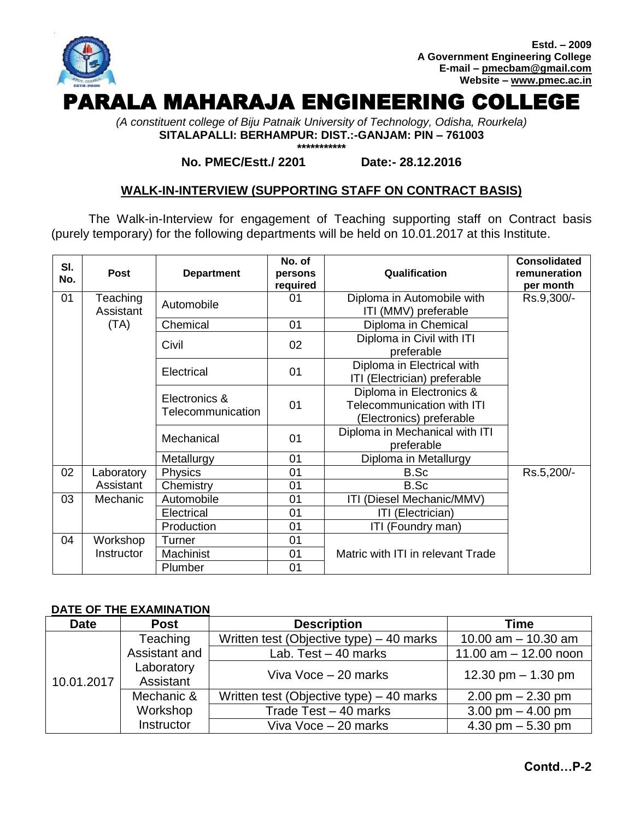

*(A constituent college of Biju Patnaik University of Technology, Odisha, Rourkela)* **SITALAPALLI: BERHAMPUR: DIST.:-GANJAM: PIN – 761003**

**\*\*\*\*\*\*\*\*\*\*\***

### **No. PMEC/Estt./ 2201 Date:- 28.12.2016**

# **WALK-IN-INTERVIEW (SUPPORTING STAFF ON CONTRACT BASIS)**

The Walk-in-Interview for engagement of Teaching supporting staff on Contract basis (purely temporary) for the following departments will be held on 10.01.2017 at this Institute.

| SI.<br>No. | Post                  | <b>Department</b>                  | No. of<br>persons<br>required                                                                                     | Qualification                                                                             | <b>Consolidated</b><br>remuneration<br>per month |
|------------|-----------------------|------------------------------------|-------------------------------------------------------------------------------------------------------------------|-------------------------------------------------------------------------------------------|--------------------------------------------------|
| 01         | Teaching<br>Assistant | Automobile                         | 01                                                                                                                | Diploma in Automobile with<br>ITI (MMV) preferable                                        | Rs.9,300/-                                       |
|            | (TA)                  | Chemical                           | 01                                                                                                                | Diploma in Chemical                                                                       |                                                  |
|            |                       | Civil                              | Diploma in Civil with ITI<br>02<br>preferable<br>Diploma in Electrical with<br>01<br>ITI (Electrician) preferable |                                                                                           |                                                  |
|            |                       | Electrical                         |                                                                                                                   |                                                                                           |                                                  |
|            |                       | Electronics &<br>Telecommunication | 01                                                                                                                | Diploma in Electronics &<br><b>Telecommunication with ITI</b><br>(Electronics) preferable |                                                  |
|            |                       | Mechanical                         | 01                                                                                                                | Diploma in Mechanical with ITI<br>preferable                                              |                                                  |
|            |                       | Metallurgy                         | 01                                                                                                                | Diploma in Metallurgy                                                                     |                                                  |
| 02         | Laboratory            | Physics                            | 01                                                                                                                | B.Sc                                                                                      | Rs.5,200/-                                       |
|            | Assistant             | Chemistry                          | 01                                                                                                                | B.Sc                                                                                      |                                                  |
| 03         | Mechanic              | Automobile                         | 01                                                                                                                | ITI (Diesel Mechanic/MMV)                                                                 |                                                  |
|            |                       | Electrical                         | 01                                                                                                                | ITI (Electrician)                                                                         |                                                  |
|            |                       | Production                         | 01                                                                                                                | ITI (Foundry man)                                                                         |                                                  |
| 04         | Workshop              | Turner                             | 01                                                                                                                |                                                                                           |                                                  |
|            | Instructor            | Machinist                          | 01<br>Matric with ITI in relevant Trade                                                                           |                                                                                           |                                                  |
|            |                       | Plumber                            | 01                                                                                                                |                                                                                           |                                                  |

## **DATE OF THE EXAMINATION**

| <b>Date</b> | <b>Post</b>             | <b>Description</b>                       | <b>Time</b>                         |  |  |
|-------------|-------------------------|------------------------------------------|-------------------------------------|--|--|
|             | Teaching                | Written test (Objective type) – 40 marks | 10.00 $am - 10.30 am$               |  |  |
|             | Assistant and           | Lab. Test $-40$ marks                    | 11.00 $am - 12.00$ noon             |  |  |
| 10.01.2017  | Laboratory<br>Assistant | Viva Voce - 20 marks                     | 12.30 pm $-$ 1.30 pm                |  |  |
|             | Mechanic &              | Written test (Objective type) – 40 marks | $2.00 \text{ pm} - 2.30 \text{ pm}$ |  |  |
|             | Workshop                | Trade Test - 40 marks                    | 3.00 pm $-$ 4.00 pm                 |  |  |
|             | Instructor              | Viva Voce - 20 marks                     | 4.30 pm $-$ 5.30 pm                 |  |  |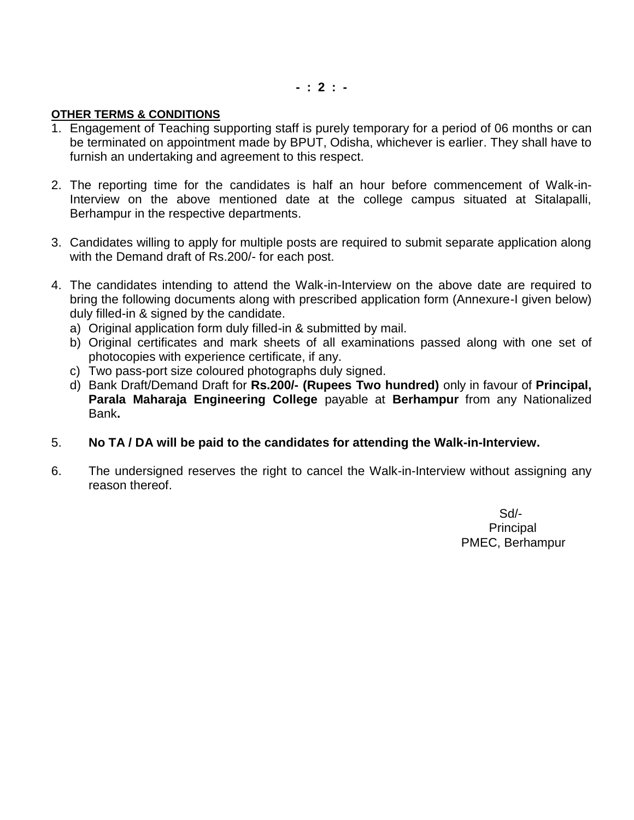**- : 2 : -**

# **OTHER TERMS & CONDITIONS**

- 1. Engagement of Teaching supporting staff is purely temporary for a period of 06 months or can be terminated on appointment made by BPUT, Odisha, whichever is earlier. They shall have to furnish an undertaking and agreement to this respect.
- 2. The reporting time for the candidates is half an hour before commencement of Walk-in-Interview on the above mentioned date at the college campus situated at Sitalapalli, Berhampur in the respective departments.
- 3. Candidates willing to apply for multiple posts are required to submit separate application along with the Demand draft of Rs.200/- for each post.
- 4. The candidates intending to attend the Walk-in-Interview on the above date are required to bring the following documents along with prescribed application form (Annexure-I given below) duly filled-in & signed by the candidate.
	- a) Original application form duly filled-in & submitted by mail.
	- b) Original certificates and mark sheets of all examinations passed along with one set of photocopies with experience certificate, if any.
	- c) Two pass-port size coloured photographs duly signed.
	- d) Bank Draft/Demand Draft for **Rs.200/- (Rupees Two hundred)** only in favour of **Principal, Parala Maharaja Engineering College** payable at **Berhampur** from any Nationalized Bank**.**
- 5. **No TA / DA will be paid to the candidates for attending the Walk-in-Interview.**
- 6. The undersigned reserves the right to cancel the Walk-in-Interview without assigning any reason thereof.

 Sd/- Principal PMEC, Berhampur